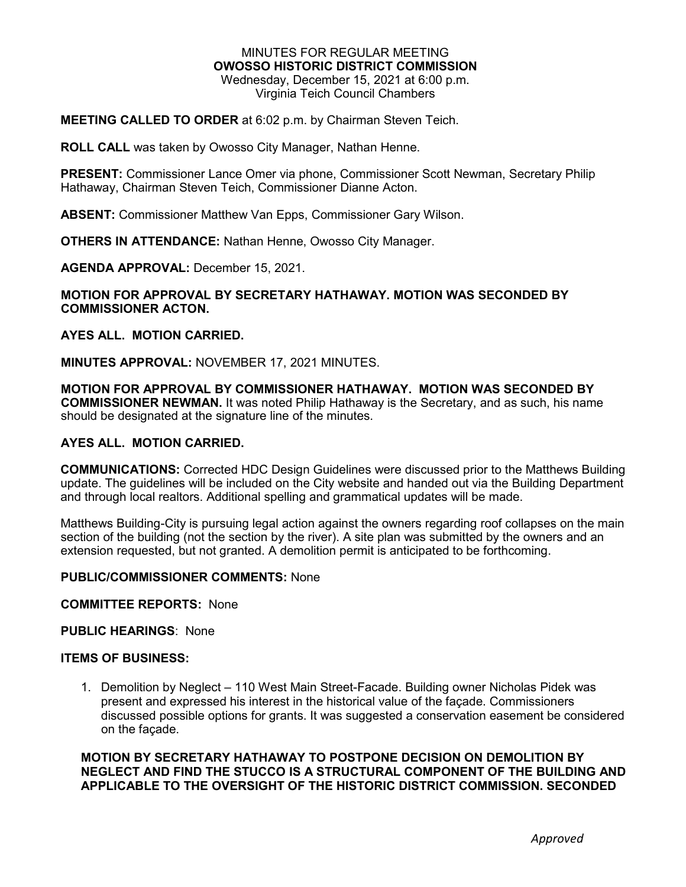#### MINUTES FOR REGULAR MEETING **OWOSSO HISTORIC DISTRICT COMMISSION** Wednesday, December 15, 2021 at 6:00 p.m. Virginia Teich Council Chambers

## **MEETING CALLED TO ORDER** at 6:02 p.m. by Chairman Steven Teich.

**ROLL CALL** was taken by Owosso City Manager, Nathan Henne.

**PRESENT:** Commissioner Lance Omer via phone, Commissioner Scott Newman, Secretary Philip Hathaway, Chairman Steven Teich, Commissioner Dianne Acton.

**ABSENT:** Commissioner Matthew Van Epps, Commissioner Gary Wilson.

**OTHERS IN ATTENDANCE:** Nathan Henne, Owosso City Manager.

**AGENDA APPROVAL:** December 15, 2021.

### **MOTION FOR APPROVAL BY SECRETARY HATHAWAY. MOTION WAS SECONDED BY COMMISSIONER ACTON.**

### **AYES ALL. MOTION CARRIED.**

**MINUTES APPROVAL:** NOVEMBER 17, 2021 MINUTES.

**MOTION FOR APPROVAL BY COMMISSIONER HATHAWAY. MOTION WAS SECONDED BY COMMISSIONER NEWMAN.** It was noted Philip Hathaway is the Secretary, and as such, his name should be designated at the signature line of the minutes.

## **AYES ALL. MOTION CARRIED.**

**COMMUNICATIONS:** Corrected HDC Design Guidelines were discussed prior to the Matthews Building update. The guidelines will be included on the City website and handed out via the Building Department and through local realtors. Additional spelling and grammatical updates will be made.

Matthews Building-City is pursuing legal action against the owners regarding roof collapses on the main section of the building (not the section by the river). A site plan was submitted by the owners and an extension requested, but not granted. A demolition permit is anticipated to be forthcoming.

#### **PUBLIC/COMMISSIONER COMMENTS:** None

**COMMITTEE REPORTS:** None

### **PUBLIC HEARINGS**: None

## **ITEMS OF BUSINESS:**

1. Demolition by Neglect – 110 West Main Street-Facade. Building owner Nicholas Pidek was present and expressed his interest in the historical value of the façade. Commissioners discussed possible options for grants. It was suggested a conservation easement be considered on the façade.

**MOTION BY SECRETARY HATHAWAY TO POSTPONE DECISION ON DEMOLITION BY NEGLECT AND FIND THE STUCCO IS A STRUCTURAL COMPONENT OF THE BUILDING AND APPLICABLE TO THE OVERSIGHT OF THE HISTORIC DISTRICT COMMISSION. SECONDED**